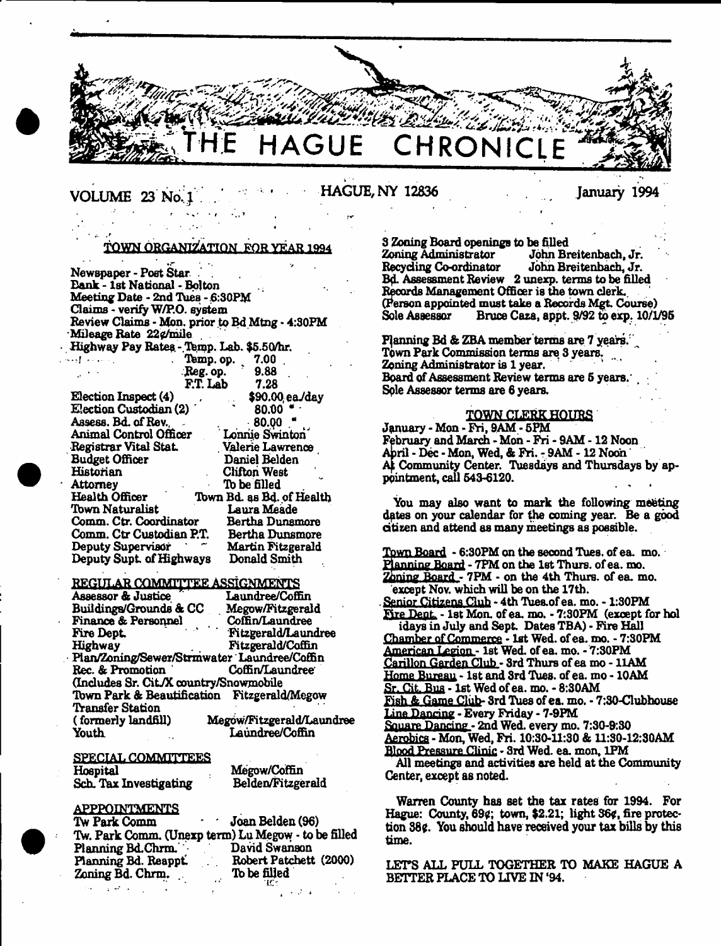

# VOLUME 23 No. 1 HAGUE, NY 12836 January 1994

# TOWN ORGANIZATION, FOR YEAR 1994

. *f t*

Newspaper - Poet Star Bank - 1st National - Bolton Meeting Date - 2nd TUes - 6:30PM Claims - verify W/P.O. system Review Claims - Mon. prior to Bd Mtng • 4:30PM Mileage Rate 22¢/mile Highway Pay Rates - Temp. Lab. \$5.50/hr.<br>Temp. op. 7.00 • - - ■. ■ Ttemp. op. " 7.00 . Reg. op.

| F.T. Lab<br>7.28                                   |
|----------------------------------------------------|
| \$90.00 ea/day                                     |
| 80.00                                              |
| $-80.00$                                           |
| Lonnie Swinton                                     |
| Valerie Lawrence                                   |
| Daniel Belden                                      |
| Clifton West                                       |
| To be filled                                       |
| Town Bd. as Bd. of Health                          |
| Laura Meade                                        |
| Comm. Ctr. Coordinator<br>Bertha Dunamore          |
| Comm. Ctr Custodian P.T.<br><b>Bertha Dunsmore</b> |
| <b>Martin Fitzgerald</b>                           |
| Deputy Supt. of Highways<br>Donald Smith           |
|                                                    |

#### REGULAR COMMITTEE ASSIGN

| 77<br>Assessor & Justice                    | Laundree/Coffin           |
|---------------------------------------------|---------------------------|
| Buildings/Grounds & CC                      | Megow/Fitzgerald          |
| Finance & Personnel                         | Coffin/Laundree           |
| Fire Dept.                                  | Fitzgerald/Laundree       |
| Highway                                     | Fitzgerald/Coffin         |
| Plan/Zoning/Sewer/Strmwater Laundree/Coffin |                           |
| Rec. & Promotion                            | <b>Coffin/Laundree</b>    |
| (Includes Sr. Cit./X country/Snowmobile     |                           |
| Town Park & Beautification Fitzgerald/Megow |                           |
| <b>Transfer Station</b>                     |                           |
| (formerly landfill)                         | Megow/Fitzgerald/Laundree |
| Youth                                       | Laundree/Coffin           |

SPECIAL COMMITTEES **Hospital** Sch. Tax Investigating

Megow/Coffin Belden/Fitzgerald

# **APPPOINTMENTS**

| Tw Park Comm         |  | <b>Joan Belden (96)</b>                             |
|----------------------|--|-----------------------------------------------------|
|                      |  | Tw. Park Comm. (Unexp term) Lu Megow - to be filled |
| Planning Bd.Chrm.    |  | David Swanson                                       |
| Planning Bd. Reappt. |  | Robert Patchett (2000)                              |
| Zoning Bd. Chrm.     |  | To be filled                                        |
|                      |  |                                                     |

3 Zoning Board openings to be filled John Breitenbach, Jr.<br>John Breitenbach, Jr. Recycling Co-ordinator BfL Assessment Review 2 unexp. terms to be filled Records Management Offioer is the town clerk., (Person appointed must take a Records Mgt. Course) Bruce Caza, appt. 9/92 to exp. 10/1/95

F|anning Bd & ZBA member terms are 7 years.' \ Town Park Commission terms are 3 years. Zoning Administrator is 1 year. ' Board of Assessment Review terms are 5 years. Sole Assessor terms are 6 years.

# TOWN CLERK HOURS

January - Mon - Fri, 9AM - 5PM February and March -Mon - Fri - 9AM -12 Noon April - Dec - Mon, Wed, & Fri. - 9AM - 12 Noon At Community Center. Tuesdays and Thursdays by appointment, call 543-6120.

You may also want to mark the following meeting dates on your calendar for the coming year. Be a good citizen and attend as many meetings as possible.

Town Board - 6:30PM on the second Tues. of ea. mo. Planning Board - 7PM on the 1st Thurs. of ea. mo. Zoning Board - 7PM - on the 4th Thurs. of ea. mo. except Nov. which will be on the 17th. Senior Citizens Club - 4th Tues.of ea. mo. - 1:30PM Fire Dept. - 1st Mon. of ea. mo. - 7:30PM (except for hoil idays in July and Sept. Dates TBA) - Fire Hall Chamber of Commerce - 1st Wed. of ea. mo. - 7:30PM American Legion - 1st Wed. of ea. mo. - 7:30PM Carillon Garden Club - 3rd Thurs of ea mo - 11AM Home Bureau - 1st and 3rd Tues. of ea. mo - 10AM Sr. Cit. Bus - 1st Wed of ea. mo. - 8:30AM Fish & Game Cliib- 3rd Tues of ea, mo. - 7:30-Clubhouse Line Dancing - Every Friday - 7-9PM Square Dancing - 2nd Wed. every mo. 7:30-9:30 Aerobics - Mon. Wed, Fri. 10:30-11:30 & 11:S0-12:30AM RIood Pressure Clinic - 3rd Wed. ea. mon, 1PM All meetings and activities are held at the Community Center, except as noted.

Warren County has set the tax rates for 1994. For Hague: County, 69¢; town, \$2.21; light 36¢, fire protection 38¢. You should have received your tax bills by this time.

LETS ALL FULL TOGETHER TO MAKE HAGUE A BETTER PLACE TO LIVE IN '94.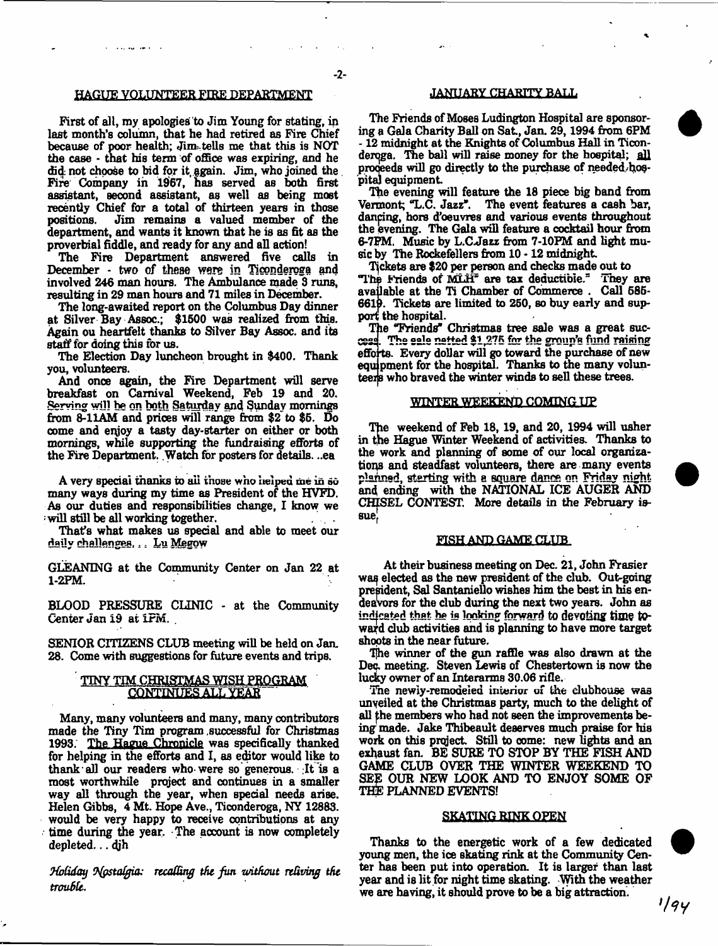# HAGUE VOLUNTEER FIRE DEPARTMENT

First of all, my apologies to Jim Young for stating, in last month's column, that he had retired as Fire Chief because of poor health; Jim-tells me that this is NOT the case - that his term of office was expiring, and he did: not choose to bid for it, §gain. Jim, who joined the Fire Company in 1967, has served as both first assistant, second assistant, as well as being most recently Chief for a total of thirteen years in those positions. Jim remains a valued member of the department, and wants it known that he is as fit as the proverbial fiddle, and ready for any and all action!

The Fire Department answered five calls in December - two of these were in Ticonderoga and involved 246 man hours. The Ambulance made 3 runs, resulting in 29 man hours and 71 miles in December.

The long-awaited report on the Columbus Day dinner at Silver Bay Assoc.; \$1500 was realized from this. Again ou heartfelt thanks to Silver Bay Assoc, and its staff for doing this for us.

The Election Day luncheon brought in \$400. Thank you, volunteers.

And once again, the Fire Department will serve breakfast on Carnival Weekend, Feb 19 and 20. Serving will **be on both** Saturday and Sunday mornings from 8-11AM and prices will range from \$2 to \$6. Do come and enjoy a tasty day-starter on either or both mornings, while supporting the fundraising efforts of the Fire Department. Watch for posters for details. ..ea

A very special thanks to all those who helped me in so many ways during my time as President of the HVFD. As our duties and responsibilities change, I know we : will still be all working together.

That's what makes us special and able to meet our daily challenges... Lu Megow

GLEANING at the Community Center on Jan 22 at 1-2PM.

BLOOD PRESSURE CLINIC - at the Community Center Jan 19 at IFM. .

SENIOR CITIZENS CLUB meeting will be held on Jan. 28. Come with suggestions for future events and trips.

# TINY TTM CHRISTMAS WISH PROGRAM **CONTINUES ALL YEAR"**

Many, many volunteers and many, many contributors made the Tiny Tim program .successful for Christmas 1993. The Hague Chronicle was specifically thanked for helping in the efforts and I, as editor would like to thank-all our readers who-were so generous. ;It is a most worthwhile project and continues in a smaller way all through the year, when special needs arise. Helen Gibbs, 4 Mt. Hope Ave., Ticonderoga, NY 12883. would be very happy to receive contributions at any time during the year. The account is now completely depleted... 4jh

*9fotiday Tfgstolgia: rtcafting the fun uritfunit reliving the trouble.*

# JANUARY CHARITY BALL

 $\ddot{\phantom{a}}$ 

The Friends of Moses Ludington Hospital are sponsoring a Gala Charity Ball on Sat, Jan. 29,1994 from 6PM -12 midnight at the Knights of Columbus Hall in Ticonderoga. The ball will raise money for the hospital; all proceeds will go directly to the purchase of needed/hospita) equipment

The evening will feature the 18 piece big band from Vermont; "L.C. Jazz\*. The event features a cash bar, dancing, hors d'oeuvres and various events throughout the evening. The Gala will feature a cocktail hour from 6-7FM, Music by L.C-Jazz from 7-10FM and light music by The Rockefellers from  $10 - 12$  midnight.

Tickets are \$20 per person and checks made out to "The Friends of MLH" are tax deductible." They are available at the Ti Chamber of Commerce . Call 685- 6619. Tickets are limited to 250, so buy early and support the hospital.

The "Friends" Christmas tree sale was a great success. The sale netted \$1,275 for the group's fund raising efforts. Every dollar will go toward the purchase of new equipment for the hospital. Thanks to the many volunteers who braved the winter winds to sell these trees.

## WINTER WEEKEND COMING UP

The weekend of Feb 18, 19, and 20, 1994 will usher in the Hague Winter Weekend of activities. Thanks to the work and planning of some of our local organizations and steadfast volunteers, there are many events planned, starting with a square dance on Friday night and ending with the NATIONAL ICE AUGER AND CHISEL CONTEST. More details in the February issue}

#### FISH AND GAME CLUB

At their business meeting on Dec. 21, John Frasier waq elected as the new president of the dub. Out-going president, Sal Santaniello wishes him the best in his endeavors for the dub during the next two years. John as indicated that ha is looking forward to devoting time toward dub activities and is planning to have more target shoots in the near future.

The winner of the gun raffle was also drawn at the Dec. meeting. Steven Lewis of Chestertown is now the lucky owner of an Interarms 30.06 rifle.

The newiy-remodeied interior of the dubhouse was unveiled at the Christmas party, much to the delight of all the members who had not seen the improvements being made. Jake Thibeault deserves much praise for his work on this project Still to oome: new lights and an exhaust fan. BE SURE TO STOP BY THE FISH AND GAME CLUB OVER THE WINTER WEEKEND TO SEE OUR NEW LOOK AND TO ENJOY SOME OF THE PLANNED EVENTS!

#### **SKATING RINK OPEN**

Thanks to the energetic work of a few dedicated young men, the ice skating rink at the Community Center has been put into operation. It is larger them last year and is lit for night time skating. With the weather we are having, it should prove to be a big attraction.

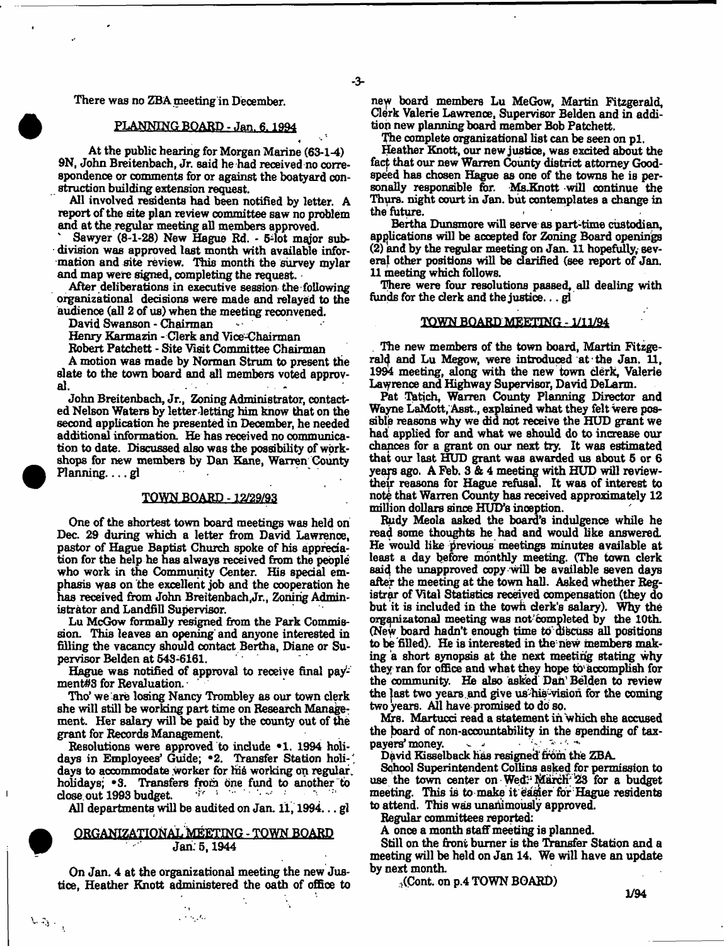There was no ZBA meeting in December.

# PLANNING BOARD - Jan. 6, 1994

\* '\* At the public hearing for Morgan Marine (63-1-4) 9N, John Breitenbach, Jr. said he had received no correspondence or comments for or against the boatyard construction building extension request.

All involved residents had been notified by letter. A report of the site plan review committee saw no problem and at the regular meeting all members approved.

Sawyer (8-1-28) New Hague Rd. - 5-lot major subdivision was approved last month with available information and site review. 'This month the survey mylar and map were signed, completing the request.

After deliberations in executive session the following organizational decisions were made and relayed to the audience (all 2 of us) when the meeting reconvened.

David Swanson - Chairman

Henry Karmazin - Clerk and Vice-Chairman

Robert Patchett - Site Visit Committee Chairman

A motion was made by Norman Strum to present the slate to the town board and all members voted approv-<br>al al. -

John Breitenbach, Jr., Zoning Administrator, contacted Nelson Waters by letter letting him know that on the second application he presented in December, he needed additional information. He has received no communication to date. Discussed also was the possibility of workshops for new members by Dan Kane, Warren County Planning  $\ldots$  gl

### **TOWN .BOARD - l#29/93**

One of the shortest town board meetings was held on Dec. 29 during which a letter from David Lawrence, pastor of Hague Baptist Church spoke of his appreciation for the help he has always received from the people who work in the Community Center. His special emphasis was on the excellent job and the cooperation he has received from John Breitenbach,Jr., Zoning Administrator and Landfill Supervisor.

Lu McGow formally resigned from the Park Commission. This leaves an opening and anyone interested in filling the vacancy should contact Bertha, Diane or Supervisor Belden at 543-6161.

Hague was notified of approval to receive final payment#3 for Revaluation.

Tho' we are losing Nancy Trombley as our town clerk she will still be working part time on Research Management. Her salary will be paid by the county out of the grant for Records Management.

Resolutions were approved to indude \*1. 1994 holidays in Employees' Guide; "2. Transfer Station holidays to accommodate worker for his working on regular, holidays; <sup>\*</sup>3. Transfers from one fund to another to dose out 1993 budget.

All departments will be audited on Jan. 11, 1994... gl

# ORGANIZATIONAL MEETING - TOWN BOARD Jan; 5,1944

On Jan. 4 at the organizational meeting the new Justice, Heather Knott administered the oath of office to

 $\mathcal{L} \rightarrow \mathcal{L}$  ,  $\mathcal{L}$ 

n*eyt* board members Lu MeGow, Martin Fitzgerald, Clerk Valerie Lawrence, Supervisor Belden and in addition new planning board member Bob Patchett

The complete organizational list can be seen on p1.

Heather Knott, our new justice, was excited about the fact that our new Warren County district attorney Goodspeed has chosen Hague as one of the towns he is personally responsible for. Ms. Knott will continue the Thurs. night court in Jan. but contemplates a change in the future.

Bertha Dunsmore will serve as part-time custodian, applications will be accepted for Zoning Board openings  $(2)$  and by the regular meeting on Jan. 11 hopefully, several other positions will be darified (see report of Jan. U meeting which follows.

There were four resolutions passed, all dealing with funds for the clerk and the justice...  $g$ 

# TOWN BOARD MEETING -  $1/11/94$

*.* The new members of the town board, Martin Fitzgerald and Lu Megow, were introduced at the Jan. 11, 1994 meeting, along with the new town derk, Valerie Lavyrence and Highway Supervisor, David DeLarm.

Pat Tatich, Warren County Planning Director and Wayne LaMott, Asst., explained what they felt were possible reasons why we did not receive the HUD grant we had. applied for and what we should do to increase our chances for a grant on our next try. It was estimated that our last HUD grant was awarded us about 5 or 6 years ago. A Feb. 3 & 4 meeting with HUD will reviewtheir reasons for Hague refusal. It was of interest to note that Warren County has received approximately 12 million dollars since HUD'S inoeption.

Rudy Meola asked the board's indulgence while he read some thoughts he had and would like answered. He would like previous meetings minutes available at least a day before monthly meeting. (The town derk said the unapproved copy will be available seven days after the meeting at the town hall. Asked whether Registrar of Vital Statistics received compensation (they do but it is included in the towh derk's salary). Why the organizatonal meeting was not'completed by the 10th. (New board hadn't enough time to discuss all positions to be filled). He is interested in the new members making a short synopsis at the next meeting stating why they ran for office and what they hope tb' accomplish for the community. He also asked Dan' Belden to review the last two years and give us his vision for the coming two years. All have promised to do so.

Mrs. Martucci read a statement in which she accused the board of non-accountability in the spending of taxpayers' money.

Dpvid Kiseelback has resigned from the ZBA.

Sqhool Superintendent Collins asked for permission to use the town center on Wed? MarcH' 23 for a budget meeting. This is to make it easier for Hague residents to attend. This was unanimously approved.

Regular committees reported:

A once a month staff meeting is planned.

Still on the front burner is the Transfer Station and a meeting will be held on Jan 14. We will have an update by next month,

 $_{0}$ (Cont. on p.4 TOWN BOARD)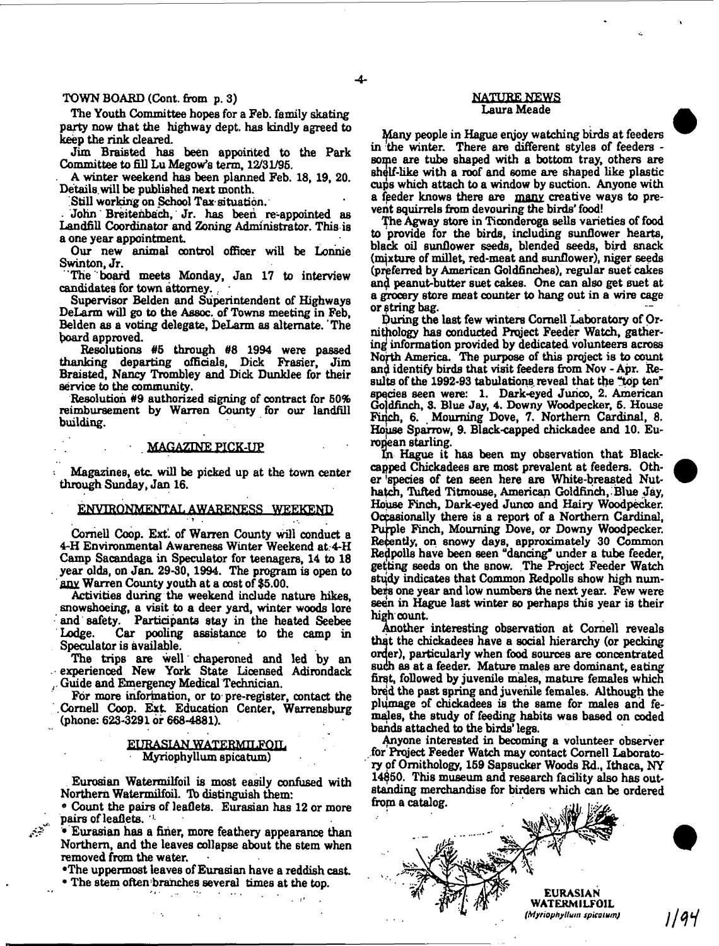# TOWN BOARD (Cont. from p. 3)

The Youth Committee hopes for a Feb. family skating party now that the highway dept, has kindly agreed to keep the rink cleared.

Jim Braisted has been appointed to the Park Committee to fill Lu Megow's term, 12/31/95.

A winter weekend has been planned Feb. 18, 19, 20. Details, will be published next month.

Still working on School Tax situation.

- John Breitenbach, Jr. has been re-appointed as Landfill Coordinator and Zoning Administrator. This is a one year appointment

Our new animal control officer will be Lonnie Swinton, Jr.

The board meets Monday, Jan 17 to interview candidates for town attorney. .

Supervisor Belden and Superintendent of Highways DeLarm will go to the Assoc, of Towns meeting in Feb, Belden as a voting delegate, DeLarm as alternate. The board approved.

Resolutions #5 through #8 1994 were passed thanking departing officials, Dick Frasier, Jim Braisted, Nancy Trombley and Dick Dunklee for their service to tip community.

Resolution #9 authorized signing of contract for 50% reimbursement by Warren County for our landfill building.

#### MAGAZINE PICK-UP

Magazines, etc. will be picked up at the town center through Sunday, Jan 16.

# ENVIRONMENTAL AWARENESS WEEKEND ■ *<sup>l</sup>,*

Cornell Coop. Ext', of Warren County will conduct a 4-H Environmental Awareness Winter Weekend at.4-H Camp Sacandaga in Speculator for teenagers, 14 to 18 year olds, on Jan. 29-30,1994. The program is open to anv Warren County youth at a cost of \$5.00.

Activities during the weekend include nature hikes, snowshoeing, a visit to a deer yard, winter woods lore and safety. Participants stay in the heated Seebee Car pooling assistance to the camp in Speculator is available.

The trips are well chaperoned and led by an experienced New York State Licensed Adirondack . Guide and Emergency Medical Technician.

For more information, or to pre-register, contact the Cornell Coop. Ext Education Center, Warrensburg (phone: 623-3291 or 668-4881).

#### EURASIAN WATERMILFOIL Myriophyllum spicatum)

Eurosian Watermilfoil is most easily confused with Northern Watermilfoil. To distinguish them:

• Count the pairs of leaflets. Eurasian has 12 or more pairs of leaflets. '!

• Eurasian has a finer, more feathery appearance than Northern, and the leaves collapse about the stem when removed from the water.

يتشمم

•The uppermost leaves of Eurasian have a reddish cast.

• The stem often branches several times at the top.

#### NATURE NEWS Laura Meade

Many people in Hague enjoy watching birds at feeders in the winter. There are different styles of feeders some are tube shaped with a bottom tray, others are ahelf-like with a roof and some are shaped like plastic cups which attach to a window by suction. Anyone with a feeder knows there are many creative ways to prevent squirrels from devouring the birds' food!

The Agway store in Ticonderoga sells varieties of food to provide for the birds, including sunflower hearts, black oil sunflower seeds, blended seeds, bird snack (mixture of millet, red-meat and sunflower), niger seeds (preferred by American Goldfinches), regular suet cakes anq peanut-butter suet cakes. One can also get suet at a grocery store meat counter to hang out in a wire cage or string bag.  $\overline{\phantom{a}}$   $\overline{\phantom{a}}$   $\overline{\phantom{a}}$   $\overline{\phantom{a}}$   $\overline{\phantom{a}}$   $\overline{\phantom{a}}$   $\overline{\phantom{a}}$   $\overline{\phantom{a}}$   $\overline{\phantom{a}}$   $\overline{\phantom{a}}$   $\overline{\phantom{a}}$   $\overline{\phantom{a}}$   $\overline{\phantom{a}}$   $\overline{\phantom{a}}$   $\overline{\phantom{a}}$   $\overline{\phantom{a}}$   $\overline{\phantom{a}}$   $\$ 

During the last few winters Cornell Laboratory of Ornithology has conducted Prqject Feeder Watch, gathering information provided by dedicated volunteers across North America. The purpose of this project is to count and identify birds that visit feeders from Nov - Apr. Results of the 1992-93 tabulations reveal that the "top ten" species seen were: 1. Dark-eyed Junco, 2. American Gofdfinch, 3. Blue Jay, 4. Downy Woodpecker, 5. House Fujch, 6. Mourning Dove, 7. Northern Cardinal, 8. House Sparrow, 9. Black-capped chickadee and 10. European starling.

In Hague it has been my observation that Blackcapped Chickadees are most prevalent at feeders. Other 'species of ten seen here are White-breasted Nuthatch, Tufted Titmouse, American Goldfinch, Blue Jay, House Finch, Dark-eyed Junco and Hairy Woodpecker. Occasionally there is a report of a Northern Cardinal, Purple Finch, Mourning Dove, or Downy Woodpecker. Recently, on snowy days, approximately 30 Common Redpolls have been seen "dancing" under a tube feeder, getting seeds on the snow. The Project Feeder Watch study indicates that Common Redpolls show high numbers one year and low numbers the next year. Few were seen in Hague last winter so perhaps this year is their high count.

Another interesting observation at Cornell reveals that the chickadees have a social hierarchy (or pecking order), particularly when food sources are concentrated Buch as at a feeder. Mature males are dominant, eating first, followed by juvenile males, mature females which bred the past spring and juvenile females. Although the plumage of chickadees is the same for males and females, the study of feeding habits was based on coded bands attached to the birds' legs.

Anyone interested in becoming a volunteer observer for Project Feeder Watch may contact Cornell Laboratory of Ornithology, 159 Sapsucker Woods Rd., Ithaca, NY 14\$50. This museum and research facility also has outstanding merchandise for birders which can be ordered from a catalog.



1194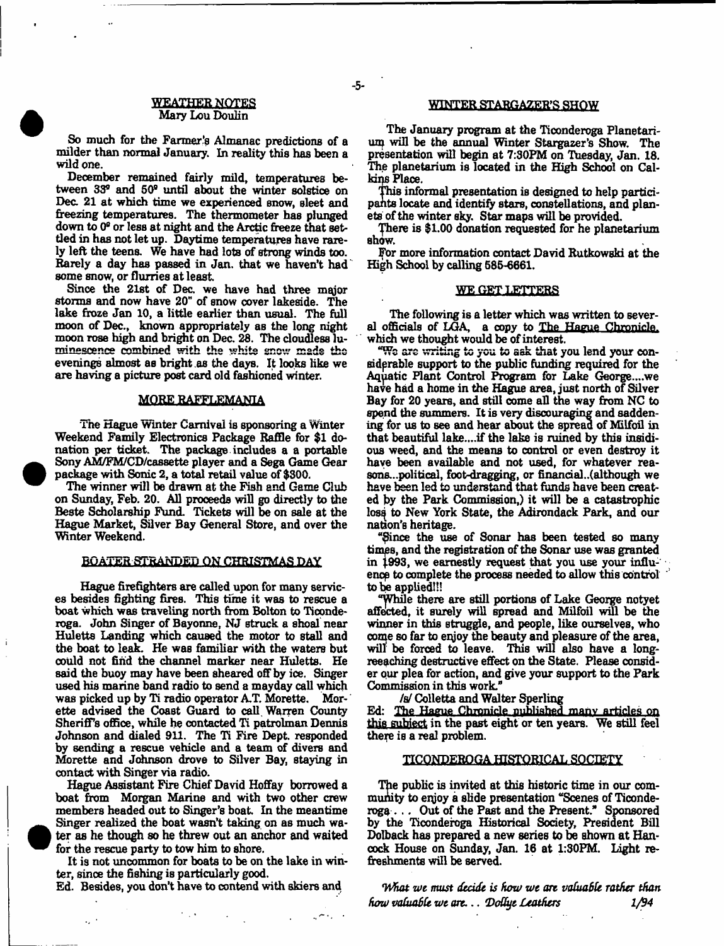## **WEAXHER NOTES** Mary Lou Doulin

So much for the Farmer's Almanac predictions of a milder than normal January. In reality this has been a wild one.

December remained fairly mild, temperatures between 33® and 50® until about the winter solstice on Dec. 21 at which time we experienced snow, sleet and freezing temperatures. The thermometer has plunged down to 0® or less at night and the Arctic freeze that settled in has not let up. Daytime temperatures have rarely left the teens. We have had lots of strong winds too. Rarely a day has passed in Jan. that we haven't had some snow, or flurries at least

Since the 21st of Dec. we have had three major storms and now have 20" of snow cover lakeside. The lake froze Jan 10, a little earlier than usual. The full moon of Dec., known appropriately as the long night moon rose high and bright on Dec. 26. The cloudless luminescence combined with the whits snow mads the evenings almost as bright .as the days. It looks like we are having a picture post card old fashioned winter.

#### MORE RAFFLEMANIA

The Hague Winter Carnival is sponsoring a Winter Weekend Family Electronics Package Raffle for \$1 donation per ticket. The package includes a a portable Sony AM/FM/CD/cassette player and a Sega Game Gear package with Sonic 2, a total retail value of \$300.

The winner will be drawn at the Fish and Game Club on Sunday, Feb. 20. All proceeds will go directly to the Beste Scholarship Fund. Tickets will be on sale at the Hague Market, Silver Bay General Store, and over the Winter Weekend.

#### BOATER STRANDED ON CHRISTMAS DAY

Hague firefighters are called upon for many services besides fighting fires. This time it was to rescue a boat which was traveling north from Bolton to Ticonderoga. John Singer of Bayonne, NJ struck a shoal near Huletts Landing which caused the motor to stall and the boat to leak. He was familiar with the waters but could not find the channel marker near Huletts. He said the buoy may have been sheared off by ice. Singer used his marine band radio to send a mayday call which was picked up by Ti radio operator AT. Morette. Morette advised the Coast Guard to call Warren County Sheriff's office, while he contacted Ti patrolman Dennis Johnson and dialed 911. The Ti Fire Dept, responded by sending a rescue vehicle and a team of divers and Morette and Johnson drove to Silver Bay, staying in contact with Singer via radio.

Hague Assistant Fire Chief David Hoffay borrowed a boat from Morgan Marine and with two other crew members headed out to Singer's boat. In the meantime Singer realized the boat wasn't taking on as much water as he though so he threw out an anchor and waited for the rescue party to tow him to shore.

It is not uncommon for boats to be on the lake in winter, since the fishing is particularly good.

Ed. Besides, you don't have to contend with skiers and

 $\mathbf{r} \sim \mathbf{r}$ 

 $\mathcal{F} \subset \mathcal{F}$ 

 $\mathcal{L}_{\mathbf{z}}$  .

#### WINTER STARGAZER'S SHOW

The January program at the Tioonderoga Planetarium will be the annual Winter Stargazer's Show. The presentation will begin at 7:30PM on Tuesday, Jan. 18. The planetarium is located in the High School on Calkins Place.

This informal presentation is designed to help participants locate and identify stars, constellations, and planets of the winter sky. Star maps will be provided.

There is \$1.00 donation requested for he planetarium show.

For more information contact David Rutkowski at the High School by calling 585-6661.

#### WE GET LETTERS

The following is a letter which was written to several officials of LGA a copy to The Hague Chronicle, which we thought would be of interest.

"Wc arc writing to you to ask that you lend your considerable support to the public funding required for the Aquatic Plant Control Program for Lake George....we have had a home in the Hague area, just north of Silver Bay for 20 years, and still come all the way from NC to spend the summers. It is very discouraging and saddening for us to see and hear about the spread of Milfoil in that beautiful lake....if the lake is ruined by this insidious weed, and the means to control or even destroy it have been available and not used, for whatever reasons...political, foot-dragging, or financial..(although we have been led to understand that funds have been created by the Park Commission,) it will be a catastrophic loss to New York State, the Adirondack Park, and our nation's heritage.

"\$ince the use of Sonar has been tested so many times, and the registration of the Sonar use was granted in 1993, we earnestly request that you use your influence to complete the process needed to allow this control to be applied!!!

"While there are still portions of Lake George notyet affected, it surely will Bpread and Milfoil will be the winner in this struggle, and people, like ourselves, who come so far to enjoy the beauty and pleasure of the area, will be forced to leave. This will also have a longreeaching destructive effect on the State. Please consider our plea for action, and give your support to the Park Commission in this work."

*fa/* Colletta and Walter Sperling

Ed: The Hague Chronicle published many articles on this subject in the past eight or ten years. We still feel there is a real problem.

#### HCQNPERQ.CrA HISTORICAL SOCIETY

The public is invited at this historic time in our community to enjoy a slide presentation "Scenes of Ticonderoga . .. Out of the Past and the Present." Sponsored by the Ticonderoga Historical Society, President Bill Dolback has prepared a new series to be shown at Hancock House on Sunday, Jan. 16 at 1:30PM. Light refreshments will be served.

*<What we must decide is hem/ wt art valuable rather than haw valuable we art.., \*Do8ye Leathers 1/94*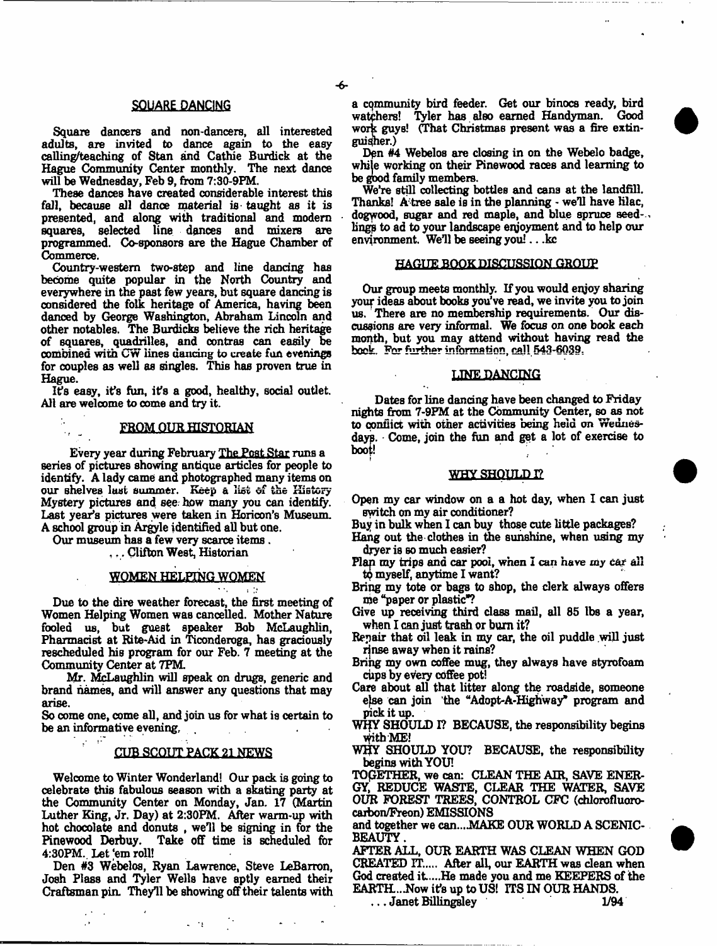# SQUARE DANCING

Square dancers and non-dancers, all interested adults, are invited to dance again to the easy calling/teaching of Stan and Cathie Burdick at the Hague Community Center monthly. The next dance will be Wednesday, Feb 9, from 7:30-9FM,

These dances have created considerable interest this fall, because all dance material is taught as it is presented, and along with traditional and modern squares, selected line dances and mixers are programmed. Co-sponsors are the Hague Chamber of Commerce.

Country-western two-step and line dancing has become quite popular in the North Country and everywhere in the past few years, but square dancing is considered the folk heritage of America, having been danced by George Washington, Abraham Lincoln and other notables. The Burdicks believe the rich heritage of squares, quadrilles, and contras can easily be combined with CW lines dancing to create fun evenings for couples as well as singles. This has proven true in Hague.

I?s easy, it's fun, it's a good, healthy, social outlet. All are welcome to come and try it.

#### FROM QUR HISTORIAN

Every year during February The Post Star runs a series of pictures showing antique articles for people to identify. A lady came and photographed many items on our shelves lust summer. Keep a list of the History Mystery pictures and see: how many you can identify. Last year's pictures were taken in Horicon's Museum. A school group in Argyle identified all but one.

Our museum has a few very scarce items .

 $\epsilon_{\rm eff} = 1$ 

,., Clifton West, Historian

# WOMEN HELPING WOMEN

 $\sim$  100  $\pm$ 

Due to the dire weather forecast, the first meeting of Women Helping Women was cancelled. Mother Nature fooled us, but guest speaker Bob McLaughlin, Pharmacist at Rite-Aid in Ticonderoga, has graciously rescheduled his program for our Feb. 7 meeting at the Community Center at 7PM.

Mr. McLaughlin will speak on drugs, generic and brand names, and will answer any questions that may arise.

So come one, come all, and join us for what is certain to be an informative evening,

# CUB SCOUT PACK 21 NEWS

Welcome to Winter Wonderland! Our pack is going to celebrate this fabulous season with a skating party at the Community Center on Monday, Jan. 17 (Martin Luther King, Jr. Day) at 2:30FM. After warm-up with hot chocolate and donuts, we'll be signing in for the Pinewood Derbuy. Take off time is scheduled for Take off time is scheduled for 4:30PM. Let 'em roll!

Den #3 Webelos, Ryan Lawrence, Steve LeBarron, Josh Plass and Tyler Wells have aptly earned their Craftsman pin. They'll be showing off their talents with

 $\omega \rightarrow 0$ 

a community bird feeder. Get our binocs ready, bird watchers! Tyler has also earned Handyman. Good work guys! (That Christmas present was a fire extinguisher.)

Den #4 Webelos are closing in on the Webelo badge, while working on their Pinewood races and learning to be good family members.

We're still collecting bottles and cans at the landfill. Thanks! A tree sale is in the planning - we'll have lilac, dogwood, sugar and red maple, and blue spruce seed-. lings to ad to your landscape enjoyment and to help our environment. We'll be seeing you!.. .kc

#### HAGUE BOOK DISCUSSION GROUP

Our group meets monthly. If you would enjoy sharing your ideas about books you've read, we invite you to join us. There are no membership requirements. Our discussions are very informal. We focus on one book each month, but you may attend without having read the hook. For further information, call 543-6039.

## LINE DANCING

Dates for line dancing have been changed to Friday nights from 7-9FM at the Community Center, so as not to conflict with other activities being held on Wednesdays. Come, join the fun and get a lot of exercise to boot!

## WHY SHOULD I?

Open my car window on a a hot day, when I can just switch on my air conditioner?

Buy in bulk when I can buy those cute little packages? Hang out the clothes in the sunshine, when using my dryer is so much easier?

- Flan my trips and car pool, when I can have *my cat* all to myself, anytime I want?
- Bring my tote or bags to shop, the derk always offers me "paper or plastic"?
- Give up receiving third dass mail, all 85 lbs a year, when I can just trash or bum it?
- Repair that oil leak in my car, the oil puddle will just rinse away when it rains?
- Bring my own coffee mug, they always have styrofoam cups by every coffee pot!
- Care about all that litter along the roadside, someone efse can join the "Adopt-A-Highway\* program and pick it up.
- WHY SHOULD I? BECAUSE, the responsibility begins ^itbME!
- WHY SHOULD YOU? BECAUSE, the responsibility begins with YOU!

TOGETHER, we can: CLEAN THE AIR, SAVE ENER-GY, REDUCE WASTE, CLEAR THE WATER, SAVE OUR FOREST TREES, CONTROL CFC (chlorofluorocaxbon/Freon) EMISSIONS

and together we can....MAKE OUR WORLD A SCENIC-BEAUTY.

AFTER ALL, OUR EARTH WAS CLEAN WHEN GOD CREATED IT...,. After all, our EARTH was dean when God created it....He made you and me KEEPERS of the EARTH...Now it's up to US! ITS IN OUR HANDS.<br>1/94 ... Janet Billingsley

. . . Janet Billingsley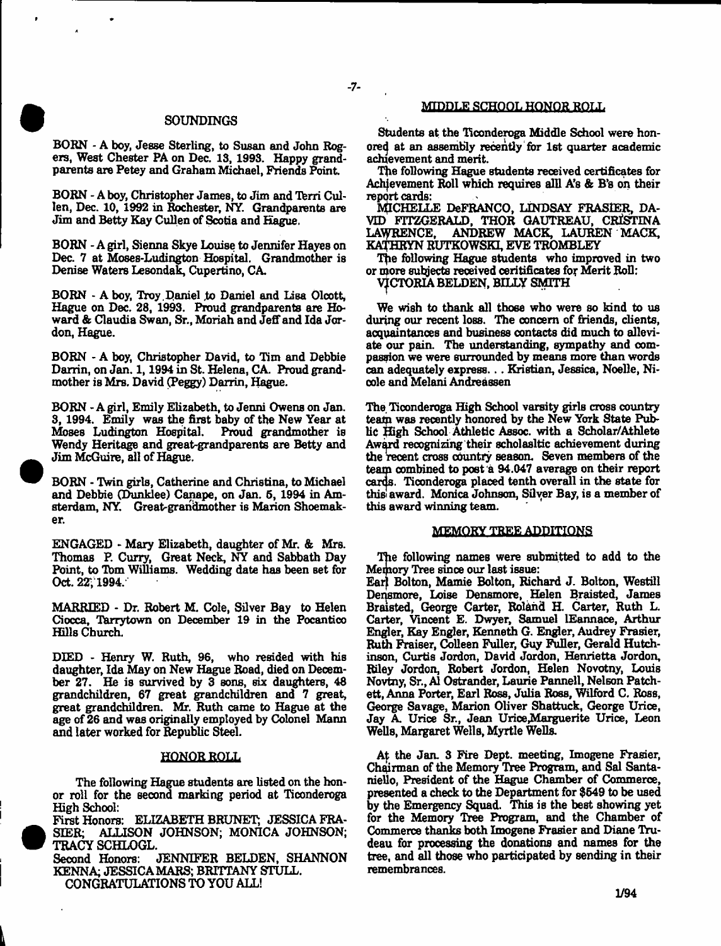## SOUNDINGS

BORN - A boy, Jesse Sterling, to Susan and John Rogers, West Chester PA on Dec. 13, 1993. Happy grandparents are Petey and Graham Michael, Friends Point

BORN - A boy, Christopher James, to Jim and Terri Cullen, Dec. 10, 1992 in Rochester, NY. Grandparents are Jim and Betty Kay Cullen of Scotia and Hague.

BORN - A girl, Sienna Skye Louise to Jennifer Hayes on Dec. 7 at Moses-Ludington Hospital. Grandmother is Denise Waters Lesondak, Cupertino, CA.

BORN - A boy, Troy Daniel to Daniel and Lisa Olcott, Hague on Dec. 28, 1993. Proud grandparents are Howard & Claudia Swan, Sr., Moriah and Jeff and Ida Jordon, Hague.

BORN - A boy, Christopher David, to Tim and Debbie Darrin, on Jan. 1,1994 in St. Helena, CA. Proud grandmother is Mrs. David (Peggy) Darrin, Hague.

BORN - A girl, Emily Elizabeth, to Jenni Owens on Jan. 3, 1994. Emily was the first baby of the New Year at Moses Ludington Hospital. Wendy Heritage and great-grandparents are Betty and Jim McGuire, all of Hague.

BORN - Twin girls, Catherine and Christina, to Michael and Debbie (Dunklee) Canape, on Jan. 5, 1994 in Amsterdam, NY. Great-grandmother is Marion Shoemaker.

ENGAGED - Mary Elizabeth, daughter of Mr. & Mrs. Thomas P. Curry, Great Neck, NY and Sabbath Day Point, to Tom Williams. Wedding date has been set for Oct. 22; 1994.

MARRIED - Dr. Robert M. Cole, Silver Bay to Helen Ciocca, Tarrytown on December 19 in the Pocantico Hills Church.

DIED - Henry W. Ruth, 96, who resided with his daughter, Ida May on New Hague Road, died on December 27. He is survived by 3 sons, six daughters, 48 grandchildren, 67 great grandchildren and 7 great, great grandchildren. Mr. Ruth came to Hague at the age of 26 and was originally employed by Colonel Mann and later worked for Republic Steel.

# HONOR ROLL

The following Hague students are listed on the honor roll for the second marking period at Ticonderoga High School: \_\_\_

First Honors: ELIZABETH BRUNET; JESSICA FRA-SIER; ALLISON JOHNSON; MONICA JOHNSON; TRACY SCHLOGL.

Second Honors: JENNIFER BELDEN, SHANNON KENNA; JESSICA MARS; BRITTANY STULL. CONGRATULATIONS TO YOU ALL!

# MIDDLE SCHOOL HONOR ROLL

Students at the Ticonderoga Middle School were honored at an assembly recently for 1st quarter academic achievement and merit.

The following Hague students received certificates for Achievement Roll which requires alll A's & B's on their report cards:

MICHELLE DeFRANCO, LINDSAY FRASIER, DA-VID FITZGERALD, THOR GAUTREAU, CRISTINA LAURENCE, ANDREW MACK, LAUREN MACK, KATHRYN KUTKOWSKI, EVE TROMBLEY

The following Hague students who improved in two or more subjects received ceritificates for Merit Roll:

VICTORIA BELDEN, BILLY SMITH

We wish to thank all those who were so kind to us during our recent loss. The concern of friends, clients, acquaintances and business contacts did much to alleviate our pain. The understanding, sympathy and compassion we were surrounded by means more than words can adequately express... Kristian, Jessica, Noelle, Nicole and Melani Andreassen

The Ticonderoga High School varsity girls cross country team was recently honored by the New York State Public High School Athletic Assoc, with a Scholar/Athlete Award recognizing their scholasltic achievement during the recent cross country season. Seven members of the team combined to post a 94.047 average on their report cards. Ticonderoga placed tenth overall in the state for thisi award. Monica Johnson, Silver Bay, is a member of this award winning team.

# MEMORY TREE ADDITIONS

The following names were submitted to add to the Memory Tree since our last issue: Ear) Bolton, Mamie Bolton, Richard J. Bolton, Westill

Densmore, Loise Densmore, Helen Braisted, James Braisted, George Carter, Roland H. Carter, Ruth L. Carter, Vincent E. Dwyer, Samuel lEannace, Arthur Engler, Kay Engler, Kenneth G. Engler, Audrey Frasier, Ruth Fraiser, Colleen Fuller, Guy Fuller, Gerald Hutchinson, Curtis Jordon, David Jordon, Henrietta Jordon, Riley Jordon, Robert Jordon, Helen Novotny, Louis Novtny, Sr., A1 Ostrander, Laurie Pannell, Nelson Patchett, Anna Porter, Earl Ross, Julia Ross, Wilfbrd C. Ross, George Savage, Marion Oliver Shattuck, George Urice, Jay A. Urice Sr., Jean Urice Marguerite Urice, Leon Wells, Margaret Wells, Myrtle Wells.

At the Jan. 3 Fire Dept, meeting, Imogene Frasier, Chairman of the Memory Tree Program, and Sal Santaniello, President of the Hague Chamber of Commerce, presented a check to the Department for \$649 to be used by the Emergency Squad. This is the best showing yet for the Memory Tree Program, and the Chamber of Commerce thanks both Imogene Frasier and Diane Trudeau for processing the donations and names for the tree, and all those who participated by sending in their remembrances.